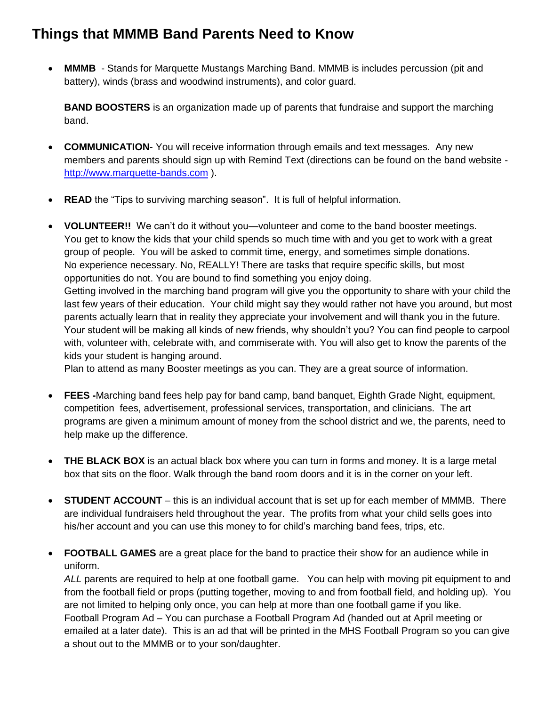## **Things that MMMB Band Parents Need to Know**

 **MMMB** - Stands for Marquette Mustangs Marching Band. MMMB is includes percussion (pit and battery), winds (brass and woodwind instruments), and color guard.

**BAND BOOSTERS** is an organization made up of parents that fundraise and support the marching band.

- **COMMUNICATION** You will receive information through emails and text messages. Any new members and parents should sign up with Remind Text (directions can be found on the band website [http://www.marquette-bands.com](http://www.marquette-bands.com/) ).
- **READ** the "Tips to surviving marching season". It is full of helpful information.
- **VOLUNTEER!!** We can't do it without you—volunteer and come to the band booster meetings. You get to know the kids that your child spends so much time with and you get to work with a great group of people. You will be asked to commit time, energy, and sometimes simple donations. No experience necessary. No, REALLY! There are tasks that require specific skills, but most opportunities do not. You are bound to find something you enjoy doing. Getting involved in the marching band program will give you the opportunity to share with your child the last few years of their education. Your child might say they would rather not have you around, but most parents actually learn that in reality they appreciate your involvement and will thank you in the future. Your student will be making all kinds of new friends, why shouldn't you? You can find people to carpool with, volunteer with, celebrate with, and commiserate with. You will also get to know the parents of the kids your student is hanging around.

Plan to attend as many Booster meetings as you can. They are a great source of information.

- **FEES -**Marching band fees help pay for band camp, band banquet, Eighth Grade Night, equipment, competition fees, advertisement, professional services, transportation, and clinicians. The art programs are given a minimum amount of money from the school district and we, the parents, need to help make up the difference.
- **THE BLACK BOX** is an actual black box where you can turn in forms and money. It is a large metal box that sits on the floor. Walk through the band room doors and it is in the corner on your left.
- **STUDENT ACCOUNT** this is an individual account that is set up for each member of MMMB. There are individual fundraisers held throughout the year. The profits from what your child sells goes into his/her account and you can use this money to for child's marching band fees, trips, etc.
- **FOOTBALL GAMES** are a great place for the band to practice their show for an audience while in uniform.

*ALL* parents are required to help at one football game. You can help with moving pit equipment to and from the football field or props (putting together, moving to and from football field, and holding up). You are not limited to helping only once, you can help at more than one football game if you like. Football Program Ad – You can purchase a Football Program Ad (handed out at April meeting or emailed at a later date). This is an ad that will be printed in the MHS Football Program so you can give a shout out to the MMMB or to your son/daughter.